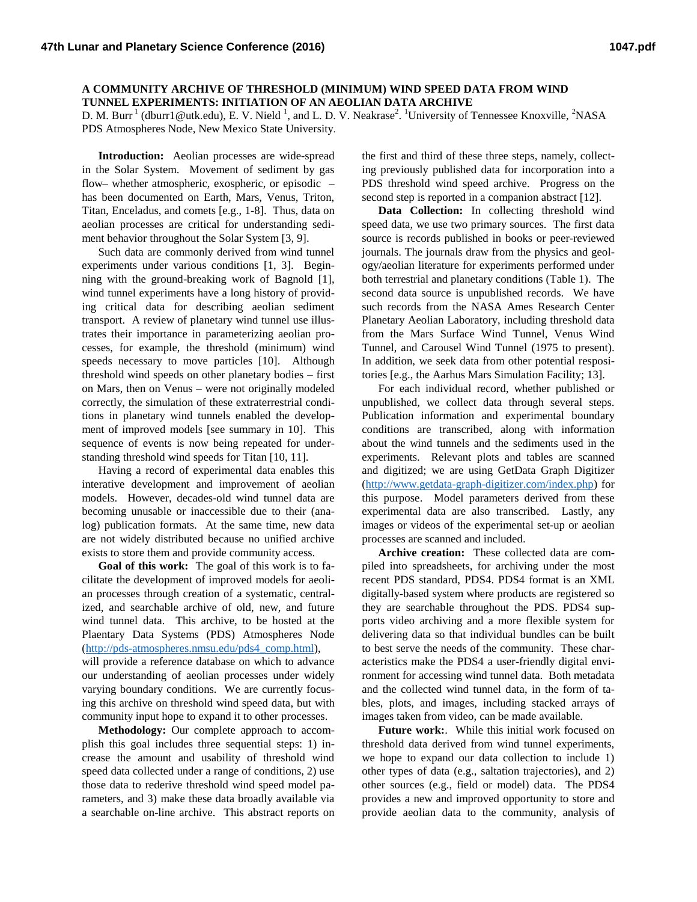## **A COMMUNITY ARCHIVE OF THRESHOLD (MINIMUM) WIND SPEED DATA FROM WIND TUNNEL EXPERIMENTS: INITIATION OF AN AEOLIAN DATA ARCHIVE**

D. M. Burr<sup>1</sup> (dburr1@utk.edu), E. V. Nield<sup>1</sup>, and L. D. V. Neakrase<sup>2</sup>. <sup>1</sup>University of Tennessee Knoxville, <sup>2</sup>NASA PDS Atmospheres Node, New Mexico State University.

**Introduction:** Aeolian processes are wide-spread in the Solar System. Movement of sediment by gas flow– whether atmospheric, exospheric, or episodic – has been documented on Earth, Mars, Venus, Triton, Titan, Enceladus, and comets [e.g., 1-8]. Thus, data on aeolian processes are critical for understanding sediment behavior throughout the Solar System [3, 9].

Such data are commonly derived from wind tunnel experiments under various conditions [1, 3]. Beginning with the ground-breaking work of Bagnold [1], wind tunnel experiments have a long history of providing critical data for describing aeolian sediment transport. A review of planetary wind tunnel use illustrates their importance in parameterizing aeolian processes, for example, the threshold (minimum) wind speeds necessary to move particles [10]. Although threshold wind speeds on other planetary bodies – first on Mars, then on Venus – were not originally modeled correctly, the simulation of these extraterrestrial conditions in planetary wind tunnels enabled the development of improved models [see summary in 10]. This sequence of events is now being repeated for understanding threshold wind speeds for Titan [10, 11].

Having a record of experimental data enables this interative development and improvement of aeolian models. However, decades-old wind tunnel data are becoming unusable or inaccessible due to their (analog) publication formats. At the same time, new data are not widely distributed because no unified archive exists to store them and provide community access.

**Goal of this work:** The goal of this work is to facilitate the development of improved models for aeolian processes through creation of a systematic, centralized, and searchable archive of old, new, and future wind tunnel data. This archive, to be hosted at the Plaentary Data Systems (PDS) Atmospheres Node [\(http://pds-atmospheres.nmsu.edu/pds4\\_comp.html\)](http://pds-atmospheres.nmsu.edu/pds4_comp.html), will provide a reference database on which to advance our understanding of aeolian processes under widely varying boundary conditions. We are currently focusing this archive on threshold wind speed data, but with

community input hope to expand it to other processes. **Methodology:** Our complete approach to accomplish this goal includes three sequential steps: 1) increase the amount and usability of threshold wind speed data collected under a range of conditions, 2) use those data to rederive threshold wind speed model parameters, and 3) make these data broadly available via a searchable on-line archive. This abstract reports on

the first and third of these three steps, namely, collecting previously published data for incorporation into a PDS threshold wind speed archive. Progress on the second step is reported in a companion abstract [12].

**Data Collection:** In collecting threshold wind speed data, we use two primary sources. The first data source is records published in books or peer-reviewed journals. The journals draw from the physics and geology/aeolian literature for experiments performed under both terrestrial and planetary conditions (Table 1). The second data source is unpublished records. We have such records from the NASA Ames Research Center Planetary Aeolian Laboratory, including threshold data from the Mars Surface Wind Tunnel, Venus Wind Tunnel, and Carousel Wind Tunnel (1975 to present). In addition, we seek data from other potential respositories [e.g., the Aarhus Mars Simulation Facility; 13].

For each individual record, whether published or unpublished, we collect data through several steps. Publication information and experimental boundary conditions are transcribed, along with information about the wind tunnels and the sediments used in the experiments. Relevant plots and tables are scanned and digitized; we are using GetData Graph Digitizer [\(http://www.getdata-graph-digitizer.com/index.php\)](http://www.getdata-graph-digitizer.com/index.php) for this purpose. Model parameters derived from these experimental data are also transcribed. Lastly, any images or videos of the experimental set-up or aeolian processes are scanned and included.

**Archive creation:** These collected data are compiled into spreadsheets, for archiving under the most recent PDS standard, PDS4. PDS4 format is an XML digitally-based system where products are registered so they are searchable throughout the PDS. PDS4 supports video archiving and a more flexible system for delivering data so that individual bundles can be built to best serve the needs of the community. These characteristics make the PDS4 a user-friendly digital environment for accessing wind tunnel data. Both metadata and the collected wind tunnel data, in the form of tables, plots, and images, including stacked arrays of images taken from video, can be made available.

**Future work:**. While this initial work focused on threshold data derived from wind tunnel experiments, we hope to expand our data collection to include 1) other types of data (e.g., saltation trajectories), and 2) other sources (e.g., field or model) data. The PDS4 provides a new and improved opportunity to store and provide aeolian data to the community, analysis of